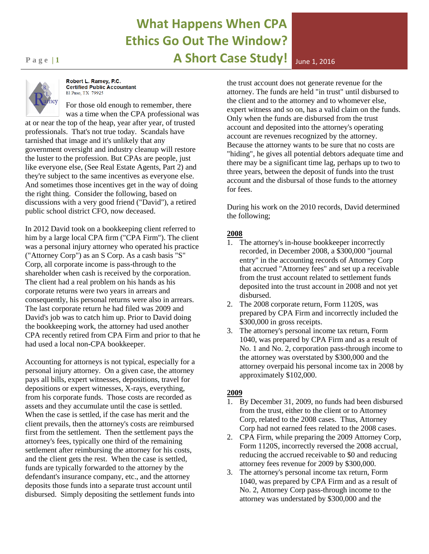# **What Happens When CPA Ethics Go Out The Window? Page 11 A Short Case Study!** June 1, 2016



Robert L. Ramey, P.C. **Certified Public Accountant** El Paso, TX 79925

For those old enough to remember, there was a time when the CPA professional was

at or near the top of the heap, year after year, of trusted professionals. That's not true today. Scandals have tarnished that image and it's unlikely that any government oversight and industry cleanup will restore the luster to the profession. But CPAs are people, just like everyone else, (See Real Estate Agents, Part 2) and they're subject to the same incentives as everyone else. And sometimes those incentives get in the way of doing the right thing. Consider the following, based on discussions with a very good friend ("David"), a retired public school district CFO, now deceased.

In 2012 David took on a bookkeeping client referred to him by a large local CPA firm ("CPA Firm"). The client was a personal injury attorney who operated his practice ("Attorney Corp") as an S Corp. As a cash basis "S" Corp, all corporate income is pass-through to the shareholder when cash is received by the corporation. The client had a real problem on his hands as his corporate returns were two years in arrears and consequently, his personal returns were also in arrears. The last corporate return he had filed was 2009 and David's job was to catch him up. Prior to David doing the bookkeeping work, the attorney had used another CPA recently retired from CPA Firm and prior to that he had used a local non-CPA bookkeeper.

Accounting for attorneys is not typical, especially for a personal injury attorney. On a given case, the attorney pays all bills, expert witnesses, depositions, travel for depositions or expert witnesses, X-rays, everything, from his corporate funds. Those costs are recorded as assets and they accumulate until the case is settled. When the case is settled, if the case has merit and the client prevails, then the attorney's costs are reimbursed first from the settlement. Then the settlement pays the attorney's fees, typically one third of the remaining settlement after reimbursing the attorney for his costs, and the client gets the rest. When the case is settled, funds are typically forwarded to the attorney by the defendant's insurance company, etc., and the attorney deposits those funds into a separate trust account until disbursed. Simply depositing the settlement funds into

the trust account does not generate revenue for the attorney. The funds are held "in trust" until disbursed to the client and to the attorney and to whomever else, expert witness and so on, has a valid claim on the funds. Only when the funds are disbursed from the trust account and deposited into the attorney's operating account are revenues recognized by the attorney. Because the attorney wants to be sure that no costs are "hiding", he gives all potential debtors adequate time and there may be a significant time lag, perhaps up to two to three years, between the deposit of funds into the trust account and the disbursal of those funds to the attorney for fees.

During his work on the 2010 records, David determined the following;

#### **2008**

- 1. The attorney's in-house bookkeeper incorrectly recorded, in December 2008, a \$300,000 "journal entry" in the accounting records of Attorney Corp that accrued "Attorney fees" and set up a receivable from the trust account related to settlement funds deposited into the trust account in 2008 and not yet disbursed.
- 2. The 2008 corporate return, Form 1120S, was prepared by CPA Firm and incorrectly included the \$300,000 in gross receipts.
- 3. The attorney's personal income tax return, Form 1040, was prepared by CPA Firm and as a result of No. 1 and No. 2, corporation pass-through income to the attorney was overstated by \$300,000 and the attorney overpaid his personal income tax in 2008 by approximately \$102,000.

### **2009**

- 1. By December 31, 2009, no funds had been disbursed from the trust, either to the client or to Attorney Corp, related to the 2008 cases. Thus, Attorney Corp had not earned fees related to the 2008 cases.
- 2. CPA Firm, while preparing the 2009 Attorney Corp, Form 1120S, incorrectly reversed the 2008 accrual, reducing the accrued receivable to \$0 and reducing attorney fees revenue for 2009 by \$300,000.
- 3. The attorney's personal income tax return, Form 1040, was prepared by CPA Firm and as a result of No. 2, Attorney Corp pass-through income to the attorney was understated by \$300,000 and the